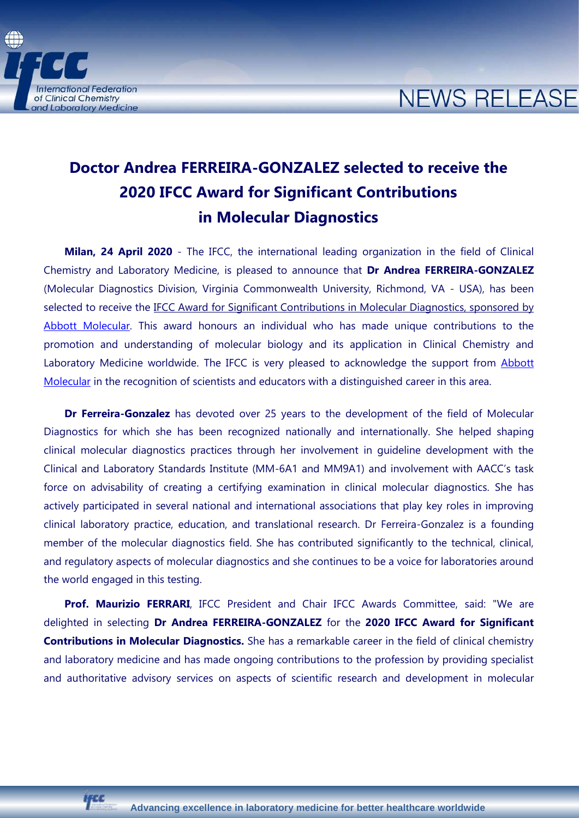

## **NEWS RELEASE**

## **Doctor Andrea FERREIRA-GONZALEZ selected to receive the 2020 IFCC Award for Significant Contributions in Molecular Diagnostics**

**Milan, 24 April 2020** - The IFCC, the international leading organization in the field of Clinical Chemistry and Laboratory Medicine, is pleased to announce that **Dr Andrea FERREIRA-GONZALEZ**  (Molecular Diagnostics Division, Virginia Commonwealth University, Richmond, VA - USA), has been selected to receive the IFCC Award for Significant Contributions in Molecular Diagnostics, sponsored by [Abbott Molecular.](http://www.abbott.com/) This award honours an individual who has made unique contributions to the promotion and understanding of molecular biology and its application in Clinical Chemistry and Laboratory Medicine worldwide. The IFCC is very pleased to acknowledge the support from **Abbott** [Molecular](http://www.abbott.com/) in the recognition of scientists and educators with a distinguished career in this area.

**Dr Ferreira-Gonzalez** has devoted over 25 years to the development of the field of Molecular Diagnostics for which she has been recognized nationally and internationally. She helped shaping clinical molecular diagnostics practices through her involvement in guideline development with the Clinical and Laboratory Standards Institute (MM-6A1 and MM9A1) and involvement with AACC's task force on advisability of creating a certifying examination in clinical molecular diagnostics. She has actively participated in several national and international associations that play key roles in improving clinical laboratory practice, education, and translational research. Dr Ferreira-Gonzalez is a founding member of the molecular diagnostics field. She has contributed significantly to the technical, clinical, and regulatory aspects of molecular diagnostics and she continues to be a voice for laboratories around the world engaged in this testing.

Prof. Maurizio FERRARI, IFCC President and Chair IFCC Awards Committee, said: "We are delighted in selecting **Dr Andrea FERREIRA-GONZALEZ** for the **2020 IFCC Award for Significant Contributions in Molecular Diagnostics.** She has a remarkable career in the field of clinical chemistry and laboratory medicine and has made ongoing contributions to the profession by providing specialist and authoritative advisory services on aspects of scientific research and development in molecular